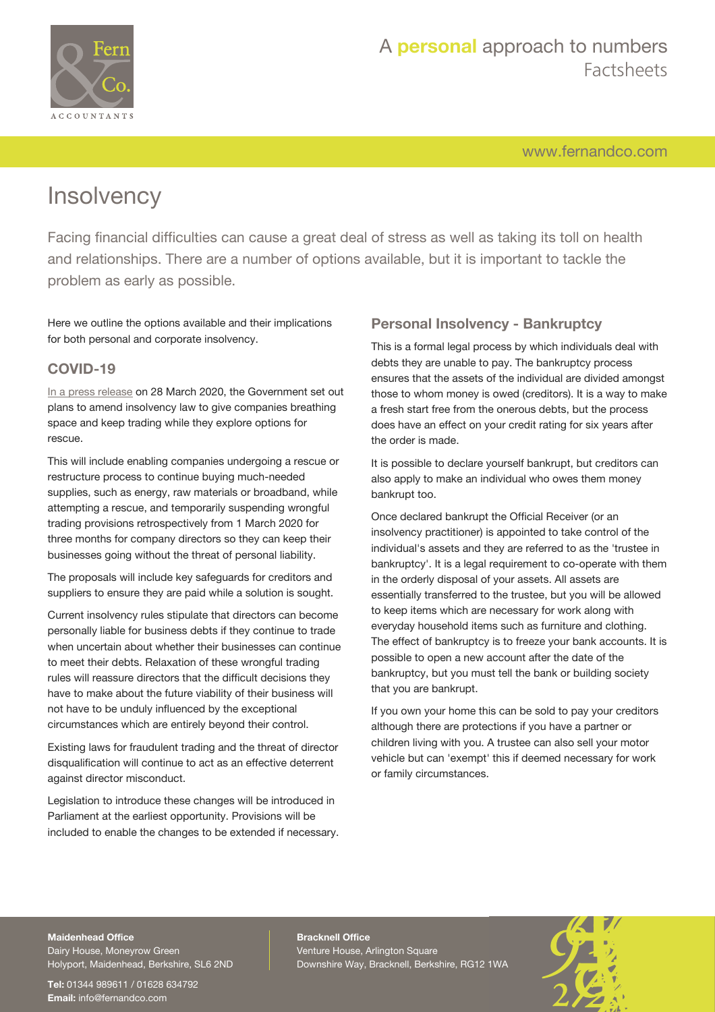

[www.fernandco.com](http://www.fernandco.com)

# **Insolvency**

Facing financial difficulties can cause a great deal of stress as well as taking its toll on health and relationships. There are a number of options available, but it is important to tackle the problem as early as possible.

Here we outline the options available and their implications for both personal and corporate insolvency.

## **COVID-19**

[In a press release](https://www.gov.uk/government/news/regulations-temporarily-suspended-to-fast-track-supplies-of-ppe-to-nhs-staff-and-protect-companies-hit-by-covid-19) on 28 March 2020, the Government set out plans to amend insolvency law to give companies breathing space and keep trading while they explore options for rescue.

This will include enabling companies undergoing a rescue or restructure process to continue buying much-needed supplies, such as energy, raw materials or broadband, while attempting a rescue, and temporarily suspending wrongful trading provisions retrospectively from 1 March 2020 for three months for company directors so they can keep their businesses going without the threat of personal liability.

The proposals will include key safeguards for creditors and suppliers to ensure they are paid while a solution is sought.

Current insolvency rules stipulate that directors can become personally liable for business debts if they continue to trade when uncertain about whether their businesses can continue to meet their debts. Relaxation of these wrongful trading rules will reassure directors that the difficult decisions they have to make about the future viability of their business will not have to be unduly influenced by the exceptional circumstances which are entirely beyond their control.

Existing laws for fraudulent trading and the threat of director disqualification will continue to act as an effective deterrent against director misconduct.

Legislation to introduce these changes will be introduced in Parliament at the earliest opportunity. Provisions will be included to enable the changes to be extended if necessary.

## **Personal Insolvency - Bankruptcy**

This is a formal legal process by which individuals deal with debts they are unable to pay. The bankruptcy process ensures that the assets of the individual are divided amongst those to whom money is owed (creditors). It is a way to make a fresh start free from the onerous debts, but the process does have an effect on your credit rating for six years after the order is made.

It is possible to declare yourself bankrupt, but creditors can also apply to make an individual who owes them money bankrupt too.

Once declared bankrupt the Official Receiver (or an insolvency practitioner) is appointed to take control of the individual's assets and they are referred to as the 'trustee in bankruptcy'. It is a legal requirement to co-operate with them in the orderly disposal of your assets. All assets are essentially transferred to the trustee, but you will be allowed to keep items which are necessary for work along with everyday household items such as furniture and clothing. The effect of bankruptcy is to freeze your bank accounts. It is possible to open a new account after the date of the bankruptcy, but you must tell the bank or building society that you are bankrupt.

If you own your home this can be sold to pay your creditors although there are protections if you have a partner or children living with you. A trustee can also sell your motor vehicle but can 'exempt' this if deemed necessary for work or family circumstances.

## **Maidenhead Office**

Dairy House, Moneyrow Green Holyport, Maidenhead, Berkshire, SL6 2ND

**Tel:** 01344 989611 / 01628 634792 **Email:** [info@fernandco.com](mailto:info@fernandco.com)

**Bracknell Office** Venture House, Arlington Square Downshire Way, Bracknell, Berkshire, RG12 1WA

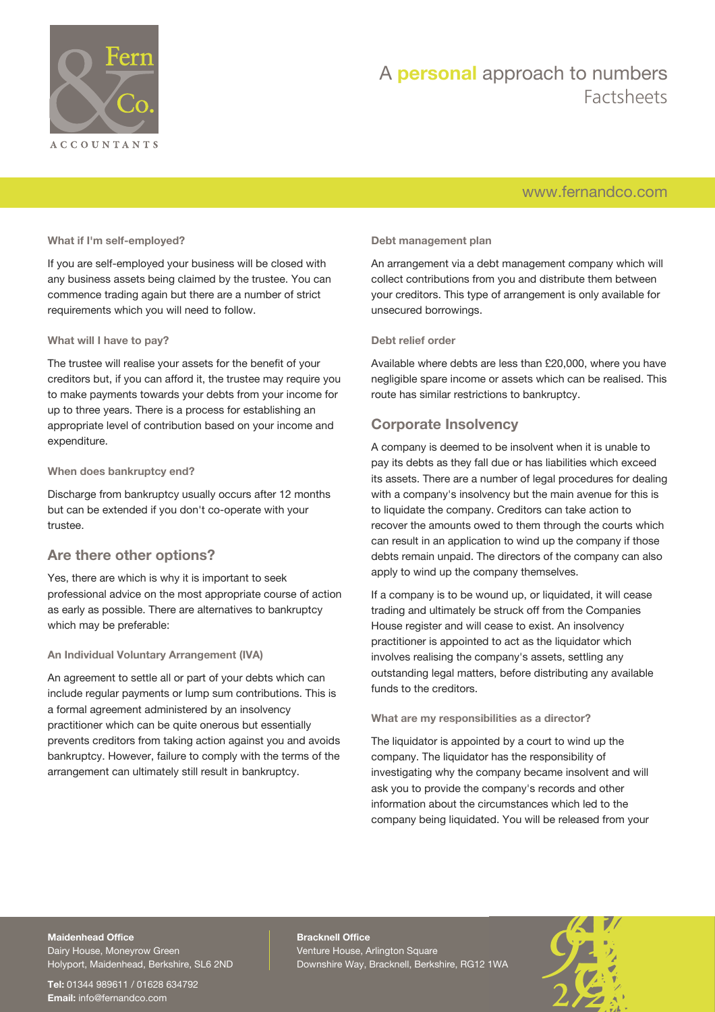

## A **personal** approach to numbers Factsheets

## [www.fernandco.com](http://www.fernandco.com)

#### **What if I'm self-employed?**

If you are self-employed your business will be closed with any business assets being claimed by the trustee. You can commence trading again but there are a number of strict requirements which you will need to follow.

#### **What will I have to pay?**

The trustee will realise your assets for the benefit of your creditors but, if you can afford it, the trustee may require you to make payments towards your debts from your income for up to three years. There is a process for establishing an appropriate level of contribution based on your income and expenditure.

#### **When does bankruptcy end?**

Discharge from bankruptcy usually occurs after 12 months but can be extended if you don't co-operate with your trustee.

## **Are there other options?**

Yes, there are which is why it is important to seek professional advice on the most appropriate course of action as early as possible. There are alternatives to bankruptcy which may be preferable:

### **An Individual Voluntary Arrangement (IVA)**

An agreement to settle all or part of your debts which can include regular payments or lump sum contributions. This is a formal agreement administered by an insolvency practitioner which can be quite onerous but essentially prevents creditors from taking action against you and avoids bankruptcy. However, failure to comply with the terms of the arrangement can ultimately still result in bankruptcy.

#### **Debt management plan**

An arrangement via a debt management company which will collect contributions from you and distribute them between your creditors. This type of arrangement is only available for unsecured borrowings.

#### **Debt relief order**

Available where debts are less than £20,000, where you have negligible spare income or assets which can be realised. This route has similar restrictions to bankruptcy.

## **Corporate Insolvency**

A company is deemed to be insolvent when it is unable to pay its debts as they fall due or has liabilities which exceed its assets. There are a number of legal procedures for dealing with a company's insolvency but the main avenue for this is to liquidate the company. Creditors can take action to recover the amounts owed to them through the courts which can result in an application to wind up the company if those debts remain unpaid. The directors of the company can also apply to wind up the company themselves.

If a company is to be wound up, or liquidated, it will cease trading and ultimately be struck off from the Companies House register and will cease to exist. An insolvency practitioner is appointed to act as the liquidator which involves realising the company's assets, settling any outstanding legal matters, before distributing any available funds to the creditors.

#### **What are my responsibilities as a director?**

The liquidator is appointed by a court to wind up the company. The liquidator has the responsibility of investigating why the company became insolvent and will ask you to provide the company's records and other information about the circumstances which led to the company being liquidated. You will be released from your

## **Maidenhead Office**

Dairy House, Moneyrow Green Holyport, Maidenhead, Berkshire, SL6 2ND

**Tel:** 01344 989611 / 01628 634792 **Email:** [info@fernandco.com](mailto:info@fernandco.com)

**Bracknell Office** Venture House, Arlington Square Downshire Way, Bracknell, Berkshire, RG12 1WA